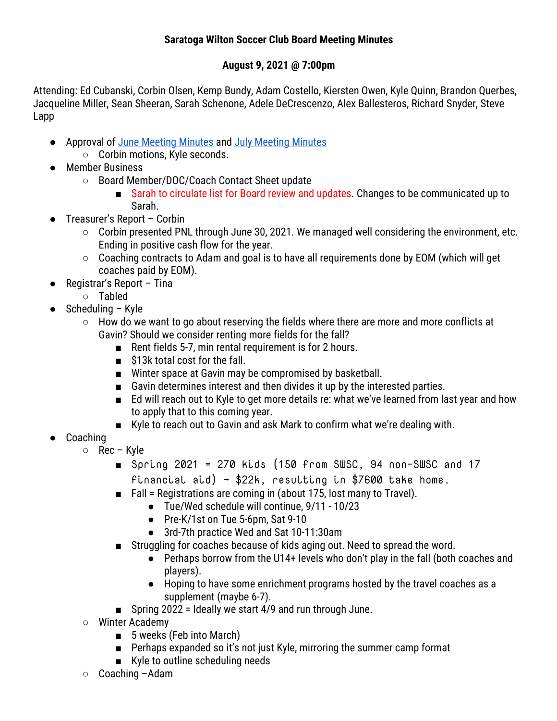## **Saratoga Wilton Soccer Club Board Meeting Minutes**

## **August 9, 2021 @ 7:00pm**

Attending: Ed Cubanski, Corbin Olsen, Kemp Bundy, Adam Costello, Kiersten Owen, Kyle Quinn, Brandon Querbes, Jacqueline Miller, Sean Sheeran, Sarah Schenone, Adele DeCrescenzo, Alex Ballesteros, Richard Snyder, Steve Lapp

- Approval of June Meeting Minutes and July Meeting Minutes
	- Corbin motions, Kyle seconds.
- Member Business
	- Board Member/DOC/Coach Contact Sheet update
		- Sarah to circulate list for Board review and updates. Changes to be communicated up to Sarah.
- Treasurer's Report Corbin
	- Corbin presented PNL through June 30, 2021. We managed well considering the environment, etc. Ending in positive cash flow for the year.
	- Coaching contracts to Adam and goal is to have all requirements done by EOM (which will get coaches paid by EOM).
- Registrar's Report Tina
	- Tabled
- $\bullet$  Scheduling Kyle
	- $\circ$  How do we want to go about reserving the fields where there are more and more conflicts at Gavin? Should we consider renting more fields for the fall?
		- Rent fields 5-7, min rental requirement is for 2 hours.
		- \$13k total cost for the fall.
		- Winter space at Gavin may be compromised by basketball.
		- Gavin determines interest and then divides it up by the interested parties.
		- Ed will reach out to Kyle to get more details re: what we've learned from last year and how to apply that to this coming year.
		- Kyle to reach out to Gavin and ask Mark to confirm what we're dealing with.
- Coaching
	- Rec Kyle
		- $\blacksquare$  Spring 2021 = 270 kids (150 from SWSC, 94 non-SWSC and 17 financial aid) →  $$22k$ , resulting in  $$7600$  take home.
		- Fall = Registrations are coming in (about 175, lost many to Travel).
			- Tue/Wed schedule will continue, 9/11 10/23
				- Pre-K/1st on Tue 5-6pm, Sat 9-10
				- 3rd-7th practice Wed and Sat 10-11:30am
		- Struggling for coaches because of kids aging out. Need to spread the word.
			- Perhaps borrow from the U14+ levels who don't play in the fall (both coaches and players).
			- Hoping to have some enrichment programs hosted by the travel coaches as a supplement (maybe 6-7).
		- Spring 2022 = Ideally we start 4/9 and run through June.
	- Winter Academy
		- 5 weeks (Feb into March)
		- Perhaps expanded so it's not just Kyle, mirroring the summer camp format
		- Kyle to outline scheduling needs
	- Coaching Adam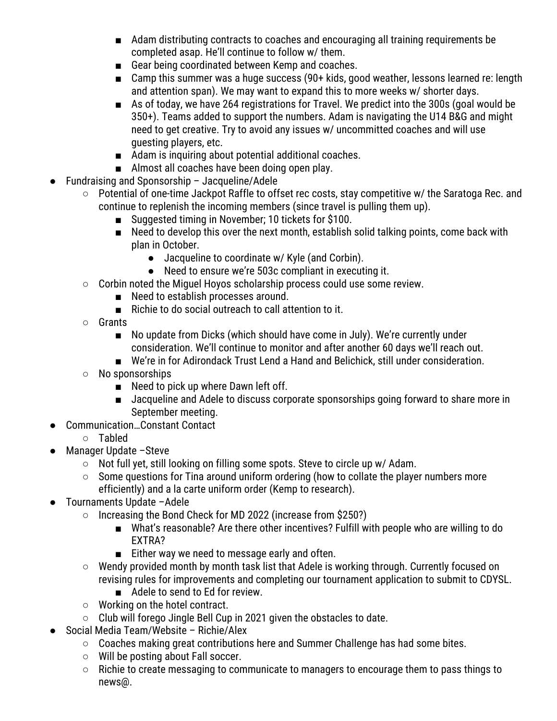- Adam distributing contracts to coaches and encouraging all training requirements be completed asap. He'll continue to follow w/ them.
- Gear being coordinated between Kemp and coaches.
- Camp this summer was a huge success (90+ kids, good weather, lessons learned re: length and attention span). We may want to expand this to more weeks w/ shorter days.
- As of today, we have 264 registrations for Travel. We predict into the 300s (goal would be 350+). Teams added to support the numbers. Adam is navigating the U14 B&G and might need to get creative. Try to avoid any issues w/ uncommitted coaches and will use guesting players, etc.
- Adam is inquiring about potential additional coaches.
- Almost all coaches have been doing open play.
- Fundraising and Sponsorship Jacqueline/Adele
	- Potential of one-time Jackpot Raffle to offset rec costs, stay competitive w/ the Saratoga Rec. and continue to replenish the incoming members (since travel is pulling them up).
		- Suggested timing in November; 10 tickets for \$100.
		- Need to develop this over the next month, establish solid talking points, come back with plan in October.
			- Jacqueline to coordinate w/ Kyle (and Corbin).
			- Need to ensure we're 503c compliant in executing it.
	- Corbin noted the Miguel Hoyos scholarship process could use some review.
		- Need to establish processes around.
			- Richie to do social outreach to call attention to it.
	- Grants
		- No update from Dicks (which should have come in July). We're currently under consideration. We'll continue to monitor and after another 60 days we'll reach out.
		- We're in for Adirondack Trust Lend a Hand and Belichick, still under consideration.
	- No sponsorships
		- Need to pick up where Dawn left off.
		- Jacqueline and Adele to discuss corporate sponsorships going forward to share more in September meeting.
- Communication...Constant Contact
	- Tabled
- Manager Update -Steve
	- Not full yet, still looking on filling some spots. Steve to circle up w/ Adam.
	- Some questions for Tina around uniform ordering (how to collate the player numbers more efficiently) and a la carte uniform order (Kemp to research).
- Tournaments Update -Adele
	- Increasing the Bond Check for MD 2022 (increase from \$250?)
		- What's reasonable? Are there other incentives? Fulfill with people who are willing to do EXTRA?
		- Either way we need to message early and often.
	- Wendy provided month by month task list that Adele is working through. Currently focused on revising rules for improvements and completing our tournament application to submit to CDYSL.
		- Adele to send to Ed for review.
	- Working on the hotel contract.
	- Club will forego Jingle Bell Cup in 2021 given the obstacles to date.
- Social Media Team/Website Richie/Alex
	- Coaches making great contributions here and Summer Challenge has had some bites.
	- Will be posting about Fall soccer.
	- Richie to create messaging to communicate to managers to encourage them to pass things to news@.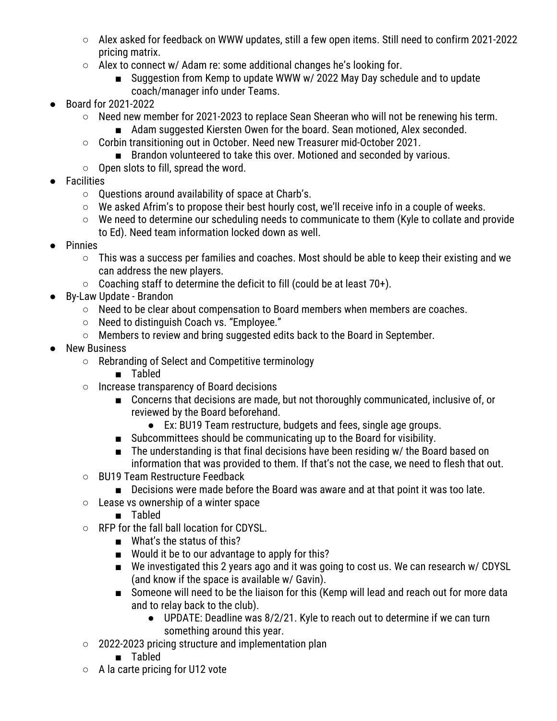- Alex asked for feedback on WWW updates, still a few open items. Still need to confirm 2021-2022 pricing matrix.
- Alex to connect w/ Adam re: some additional changes he's looking for.
	- Suggestion from Kemp to update WWW w/ 2022 May Day schedule and to update coach/manager info under Teams.
- Board for 2021-2022
	- Need new member for 2021-2023 to replace Sean Sheeran who will not be renewing his term.
		- Adam suggested Kiersten Owen for the board. Sean motioned, Alex seconded.
	- Corbin transitioning out in October. Need new Treasurer mid-October 2021.
		- Brandon volunteered to take this over. Motioned and seconded by various.
	- Open slots to fill, spread the word.
- Facilities
	- Questions around availability of space at Charb's.
	- We asked Afrim's to propose their best hourly cost, we'll receive info in a couple of weeks.
	- We need to determine our scheduling needs to communicate to them (Kyle to collate and provide to Ed). Need team information locked down as well.
- **Pinnies** 
	- This was a success per families and coaches. Most should be able to keep their existing and we can address the new players.
	- Coaching staff to determine the deficit to fill (could be at least 70+).
- By-Law Update Brandon
	- Need to be clear about compensation to Board members when members are coaches.
	- Need to distinguish Coach vs. "Employee."
	- Members to review and bring suggested edits back to the Board in September.
- **New Business** 
	- Rebranding of Select and Competitive terminology
		- Tabled
	- Increase transparency of Board decisions
		- Concerns that decisions are made, but not thoroughly communicated, inclusive of, or reviewed by the Board beforehand.
			- Ex: BU19 Team restructure, budgets and fees, single age groups.
		- Subcommittees should be communicating up to the Board for visibility.
		- The understanding is that final decisions have been residing w/ the Board based on information that was provided to them. If that's not the case, we need to flesh that out.
	- BU19 Team Restructure Feedback
		- Decisions were made before the Board was aware and at that point it was too late.
	- Lease vs ownership of a winter space
		- Tabled
	- RFP for the fall ball location for CDYSL.
		- What's the status of this?
		- Would it be to our advantage to apply for this?
		- We investigated this 2 years ago and it was going to cost us. We can research w/ CDYSL (and know if the space is available w/ Gavin).
		- Someone will need to be the liaison for this (Kemp will lead and reach out for more data and to relay back to the club).
			- UPDATE: Deadline was 8/2/21. Kyle to reach out to determine if we can turn something around this year.
	- 2022-2023 pricing structure and implementation plan
		- Tabled
	- A la carte pricing for U12 vote